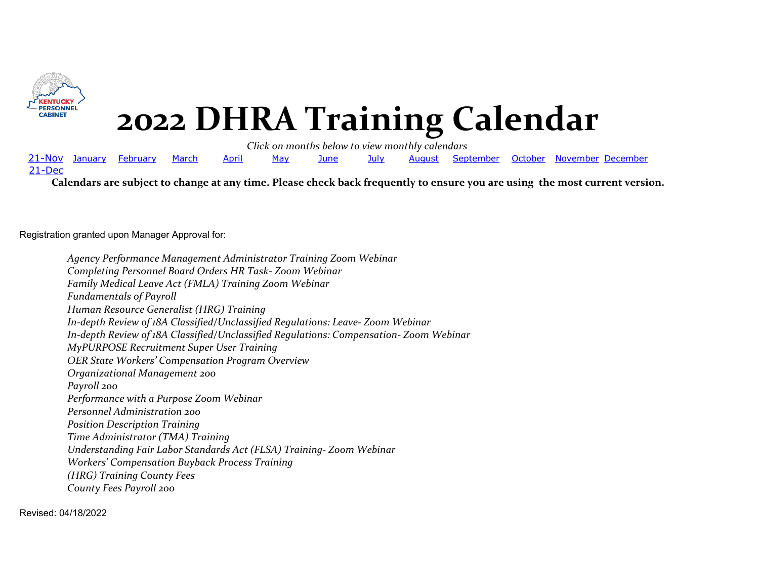<span id="page-0-0"></span>

### **2022 DHRA Training Calendar**

*Click on months below to view monthly calendars*

21-Nov January [February](#page-3-0) [March](#page-4-0) [April](#page-5-0) [May](#page-6-0) [June](#page-7-0) [July](#page-8-0) [August](#page-9-0) [September](#page-10-0) [October](#page-11-0) [November](#page-12-0) [December](#page-13-0) 21-Dec

**Calendars are subject to change at any time. Please check back frequently to ensure you are using the most current version.**

Registration granted upon Manager Approval for:

*Agency Performance Management Administrator Training Zoom Webinar Completing Personnel Board Orders HR Task- Zoom Webinar Family Medical Leave Act (FMLA) Training Zoom Webinar Fundamentals of Payroll Human Resource Generalist (HRG) Training In-depth Review of 18A Classified/Unclassified Regulations: Leave- Zoom Webinar In-depth Review of 18A Classified/Unclassified Regulations: Compensation- Zoom Webinar MyPURPOSE Recruitment Super User Training OER State Workers' Compensation Program Overview Organizational Management 200 Payroll 200 Performance with a Purpose Zoom Webinar Personnel Administration 200 Position Description Training Time Administrator (TMA) Training Understanding Fair Labor Standards Act (FLSA) Training- Zoom Webinar Workers' Compensation Buyback Process Training (HRG) Training County Fees County Fees Payroll 200*

Revised: 04/18/2022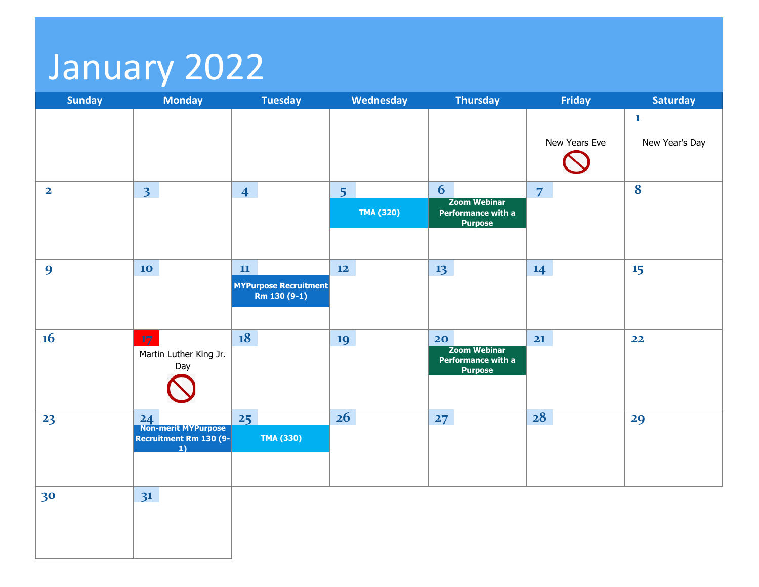# January 2022

| <b>Sunday</b>           | <b>Monday</b>                                                       | <b>Tuesday</b>                                     | Wednesday                          | <b>Thursday</b>                                                   | Friday         | <b>Saturday</b>                |
|-------------------------|---------------------------------------------------------------------|----------------------------------------------------|------------------------------------|-------------------------------------------------------------------|----------------|--------------------------------|
|                         |                                                                     |                                                    |                                    |                                                                   | New Years Eve  | $\mathbf{1}$<br>New Year's Day |
| $\overline{\mathbf{2}}$ | 3 <sup>1</sup>                                                      | $\overline{4}$                                     | 5 <sup>1</sup><br><b>TMA (320)</b> | 6<br><b>Zoom Webinar</b><br>Performance with a<br><b>Purpose</b>  | $\overline{7}$ | 8                              |
| $\boldsymbol{9}$        | 10 <sub>1</sub>                                                     | 11<br><b>MYPurpose Recruitment</b><br>Rm 130 (9-1) | 12                                 | 13                                                                | 14             | 15                             |
| 16                      | 17<br>Martin Luther King Jr.<br>Day                                 | 18                                                 | 19                                 | 20<br><b>Zoom Webinar</b><br>Performance with a<br><b>Purpose</b> | 21             | 22                             |
| 23                      | 24<br>Non-merit MYPurpose<br>Recruitment Rm 130 (9-<br>$\mathbf{1}$ | 25<br><b>TMA (330)</b>                             | 26                                 | 27                                                                | 28             | 29                             |
| 30                      | 3 <sup>1</sup>                                                      |                                                    |                                    |                                                                   |                |                                |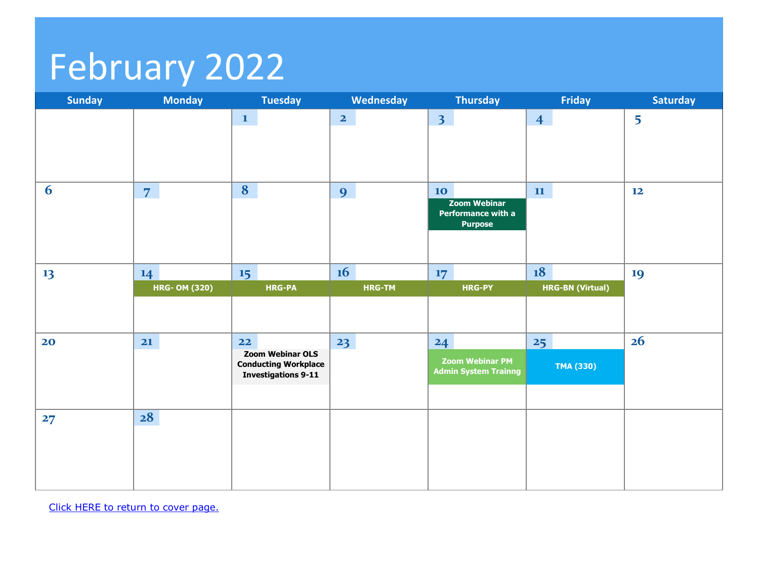# <span id="page-3-0"></span>February 2022

| 5        |
|----------|
|          |
|          |
|          |
|          |
|          |
|          |
|          |
|          |
| 19       |
|          |
|          |
|          |
|          |
|          |
|          |
|          |
|          |
|          |
|          |
| 12<br>26 |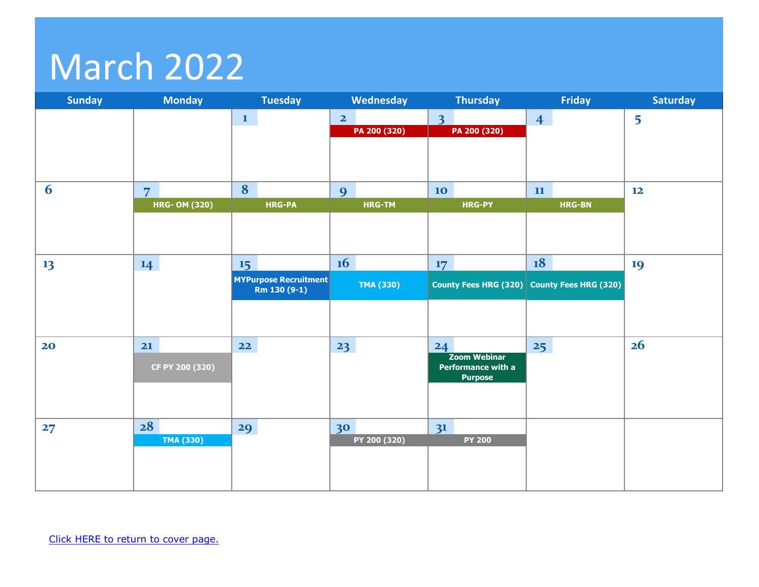## <span id="page-4-0"></span>March 2022

| <b>Sunday</b> | <b>Monday</b>                          | <b>Tuesday</b>                                     | Wednesday                               | <b>Thursday</b>                                                   | <b>Friday</b>                      | <b>Saturday</b> |
|---------------|----------------------------------------|----------------------------------------------------|-----------------------------------------|-------------------------------------------------------------------|------------------------------------|-----------------|
|               |                                        | $\mathbf{1}$                                       | $\overline{\mathbf{2}}$<br>PA 200 (320) | $\overline{\mathbf{3}}$<br>PA 200 (320)                           | $\overline{4}$                     | 5               |
| 6             | $\overline{7}$<br><b>HRG- OM (320)</b> | 8<br><b>HRG-PA</b>                                 | 9<br><b>HRG-TM</b>                      | <b>10</b><br><b>HRG-PY</b>                                        | 11<br><b>HRG-BN</b>                | 12              |
| 13            | 14                                     | 15<br><b>MYPurpose Recruitment</b><br>Rm 130 (9-1) | 16<br>TMA (330)                         | 17<br><b>County Fees HRG (320)</b>                                | 18<br><b>County Fees HRG (320)</b> | 19              |
| 20            | 21<br>CF PY 200 (320)                  | $22$                                               | 23                                      | 24<br><b>Zoom Webinar</b><br>Performance with a<br><b>Purpose</b> | 25                                 | 26              |
| 27            | 28<br><b>TMA (330)</b>                 | 29                                                 | 30<br>PY 200 (320)                      | 3 <sup>1</sup><br><b>PY 200</b>                                   |                                    |                 |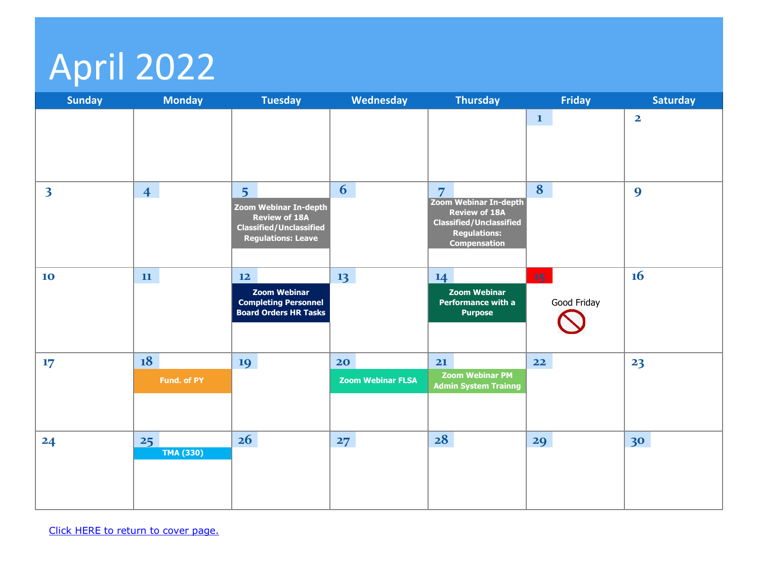# <span id="page-5-0"></span>April 2022

| <b>Sunday</b>           | <b>Monday</b>          | <b>Tuesday</b>                                                                                                                        | <b>Wednesday</b>               | <b>Thursday</b>                                                                                                                                        | <b>Friday</b>                  | <b>Saturday</b>         |
|-------------------------|------------------------|---------------------------------------------------------------------------------------------------------------------------------------|--------------------------------|--------------------------------------------------------------------------------------------------------------------------------------------------------|--------------------------------|-------------------------|
|                         |                        |                                                                                                                                       |                                |                                                                                                                                                        | $\mathbf{1}$                   | $\overline{\mathbf{2}}$ |
| $\overline{\mathbf{3}}$ | $\overline{4}$         | 5 <sup>5</sup><br><b>Zoom Webinar In-depth</b><br><b>Review of 18A</b><br><b>Classified/Unclassified</b><br><b>Regulations: Leave</b> | 6                              | $\overline{7}$<br><b>Zoom Webinar In-depth</b><br><b>Review of 18A</b><br><b>Classified/Unclassified</b><br><b>Regulations:</b><br><b>Compensation</b> | 8                              | $\boldsymbol{9}$        |
| 10                      | $\mathbf{11}$          | 12<br><b>Zoom Webinar</b><br><b>Completing Personnel</b><br><b>Board Orders HR Tasks</b>                                              | 13 <sup>7</sup>                | 14<br><b>Zoom Webinar</b><br>Performance with a<br><b>Purpose</b>                                                                                      | 15 <sub>1</sub><br>Good Friday | 16                      |
| 17                      | 18<br>Fund. of PY      | 19                                                                                                                                    | 20<br><b>Zoom Webinar FLSA</b> | 21<br><b>Zoom Webinar PM</b><br><b>Admin System Trainng</b>                                                                                            | 22                             | 23                      |
| 24                      | 25<br><b>TMA (330)</b> | 26                                                                                                                                    | 27                             | 28                                                                                                                                                     | 29                             | 30                      |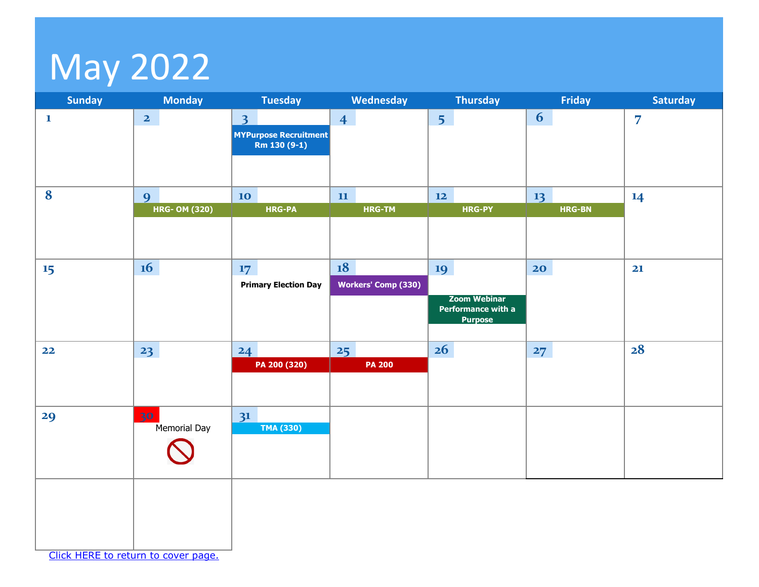## <span id="page-6-0"></span>May 2022

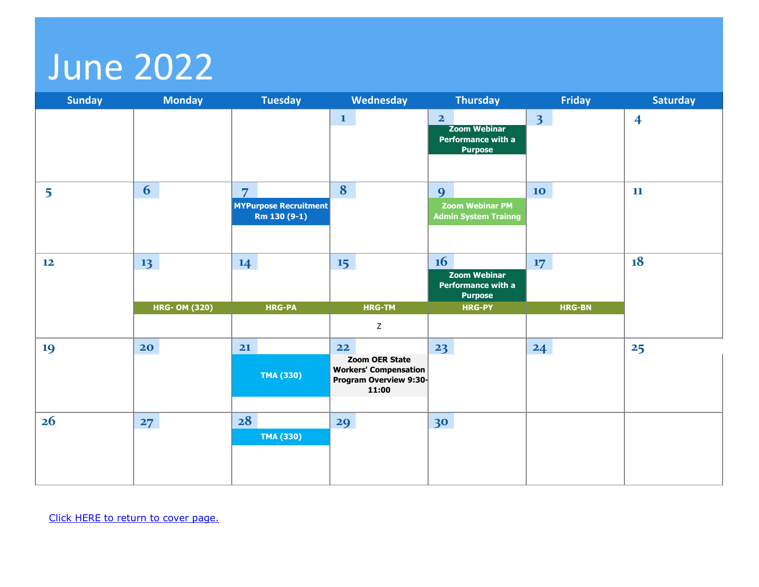### <span id="page-7-0"></span>June 2022

| <b>Sunday</b> | <b>Monday</b>        | <b>Tuesday</b>                                                 | Wednesday                                                                                      | <b>Thursday</b>                                                               | <b>Friday</b>    | <b>Saturday</b>         |
|---------------|----------------------|----------------------------------------------------------------|------------------------------------------------------------------------------------------------|-------------------------------------------------------------------------------|------------------|-------------------------|
|               |                      |                                                                | $\mathbf{1}$                                                                                   | $\overline{2}$<br><b>Zoom Webinar</b><br>Performance with a<br><b>Purpose</b> | 3 <sup>1</sup>   | $\overline{\mathbf{4}}$ |
| 5             | 6                    | $\overline{7}$<br><b>MYPurpose Recruitment</b><br>Rm 130 (9-1) | 8                                                                                              | 9<br><b>Zoom Webinar PM</b><br><b>Admin System Trainng</b>                    | 10               | 11                      |
| 12            | 13                   | 14                                                             | 15                                                                                             | 16<br><b>Zoom Webinar</b><br>Performance with a<br><b>Purpose</b>             | 17 <sup>17</sup> | 18                      |
|               | <b>HRG- OM (320)</b> | <b>HRG-PA</b>                                                  | <b>HRG-TM</b>                                                                                  | <b>HRG-PY</b>                                                                 | <b>HRG-BN</b>    |                         |
|               |                      |                                                                | $\mathsf Z$                                                                                    |                                                                               |                  |                         |
| 19            | 20                   | 21<br><b>TMA (330)</b>                                         | 22<br><b>Zoom OER State</b><br><b>Workers' Compensation</b><br>Program Overview 9:30-<br>11:00 | 23                                                                            | 24               | 25                      |
| 26            | 27                   | 28                                                             | 29                                                                                             | 30                                                                            |                  |                         |
|               |                      | <b>TMA (330)</b>                                               |                                                                                                |                                                                               |                  |                         |
|               |                      |                                                                |                                                                                                |                                                                               |                  |                         |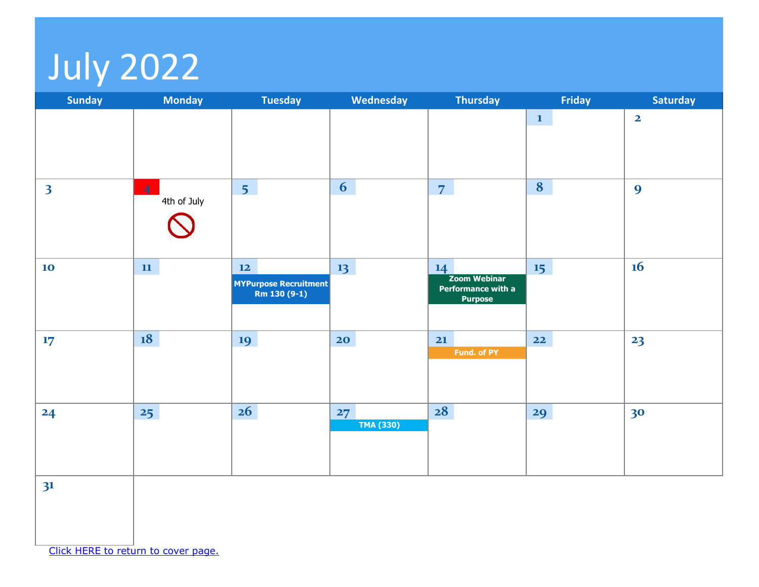# <span id="page-8-0"></span>July 2022

| <b>Sunday</b>           | <b>Monday</b>                 | <b>Tuesday</b>                                       | Wednesday              | <b>Thursday</b>                                                   | Friday       | <b>Saturday</b>         |
|-------------------------|-------------------------------|------------------------------------------------------|------------------------|-------------------------------------------------------------------|--------------|-------------------------|
|                         |                               |                                                      |                        |                                                                   | $\mathbf{1}$ | $\overline{\mathbf{2}}$ |
| $\overline{\mathbf{3}}$ | $\overline{4}$<br>4th of July | 5 <sup>7</sup>                                       | 6                      | $\overline{7}$                                                    | 8            | $\boldsymbol{9}$        |
| 10                      | 11                            | $12$<br><b>MYPurpose Recruitment</b><br>Rm 130 (9-1) | 13                     | 14<br><b>Zoom Webinar</b><br>Performance with a<br><b>Purpose</b> | 15           | 16                      |
| 17                      | 18                            | 19                                                   | 20 <sub>o</sub>        | 21<br>Fund. of PY                                                 | $22$         | 23                      |
| 24                      | 25                            | 26                                                   | 27<br><b>TMA (330)</b> | 28                                                                | 29           | 30                      |
| 3 <sup>1</sup>          |                               |                                                      |                        |                                                                   |              |                         |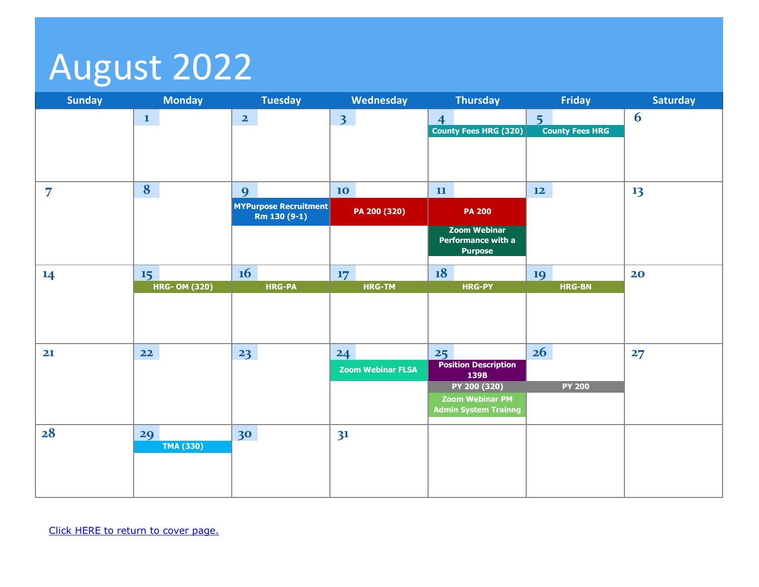## <span id="page-9-0"></span>August 2022

| <b>Sunday</b>  | <b>Monday</b>        | <b>Tuesday</b>                               | Wednesday                | Thursday                                                    | Friday                 | <b>Saturday</b> |
|----------------|----------------------|----------------------------------------------|--------------------------|-------------------------------------------------------------|------------------------|-----------------|
|                | $\mathbf{1}$         | $\overline{2}$                               | 3 <sup>1</sup>           | $\overline{4}$                                              | 5 <sup>1</sup>         | 6               |
|                |                      |                                              |                          | <b>County Fees HRG (320)</b>                                | <b>County Fees HRG</b> |                 |
|                |                      |                                              |                          |                                                             |                        |                 |
|                |                      |                                              |                          |                                                             |                        |                 |
| $\overline{7}$ | 8                    | 9                                            | 10                       | 11                                                          | $\mathbf{12}$          | 13              |
|                |                      | <b>MYPurpose Recruitment</b><br>Rm 130 (9-1) | PA 200 (320)             | <b>PA 200</b>                                               |                        |                 |
|                |                      |                                              |                          | <b>Zoom Webinar</b><br>Performance with a<br><b>Purpose</b> |                        |                 |
| 14             | 15                   | 16                                           | 17                       | 18                                                          | 19                     | 20              |
|                | <b>HRG- OM (320)</b> | <b>HRG-PA</b>                                | <b>HRG-TM</b>            | <b>HRG-PY</b>                                               | <b>HRG-BN</b>          |                 |
|                |                      |                                              |                          |                                                             |                        |                 |
|                |                      |                                              |                          |                                                             |                        |                 |
| 21             | $22$                 | 23                                           | 24                       | 25                                                          | 26                     | 27              |
|                |                      |                                              | <b>Zoom Webinar FLSA</b> | <b>Position Description</b><br>139B                         |                        |                 |
|                |                      |                                              |                          | PY 200 (320)                                                | <b>PY 200</b>          |                 |
|                |                      |                                              |                          | <b>Zoom Webinar PM</b><br><b>Admin System Trainng</b>       |                        |                 |
| 28             | 29                   | 30                                           | 3 <sup>1</sup>           |                                                             |                        |                 |
|                | <b>TMA (330)</b>     |                                              |                          |                                                             |                        |                 |
|                |                      |                                              |                          |                                                             |                        |                 |
|                |                      |                                              |                          |                                                             |                        |                 |
|                |                      |                                              |                          |                                                             |                        |                 |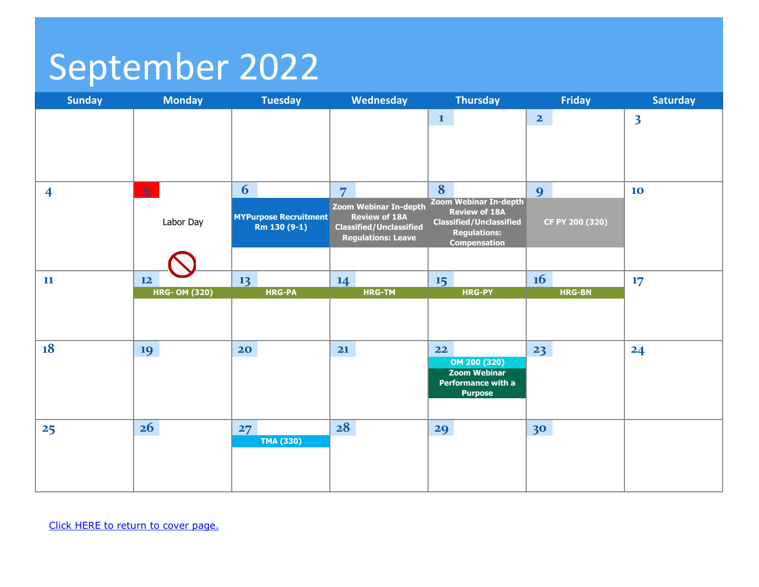## <span id="page-10-0"></span>September 2022

| <b>Sunday</b>           | <b>Monday</b>        | <b>Tuesday</b>                               | <b>Wednesday</b>                                       | <b>Thursday</b>                                       | <b>Friday</b>           | <b>Saturday</b>         |
|-------------------------|----------------------|----------------------------------------------|--------------------------------------------------------|-------------------------------------------------------|-------------------------|-------------------------|
|                         |                      |                                              |                                                        | $\mathbf{1}$                                          | $\overline{\mathbf{2}}$ | $\overline{\mathbf{3}}$ |
|                         |                      |                                              |                                                        |                                                       |                         |                         |
|                         |                      |                                              |                                                        |                                                       |                         |                         |
|                         |                      |                                              |                                                        |                                                       |                         |                         |
| $\overline{\mathbf{4}}$ | 5 <sup>1</sup>       | 6                                            | $\overline{7}$                                         | 8                                                     | 9                       | 10                      |
|                         |                      |                                              | Zoom Webinar In-depth                                  | <b>Zoom Webinar In-depth</b><br><b>Review of 18A</b>  |                         |                         |
|                         | Labor Day            | <b>MYPurpose Recruitment</b><br>Rm 130 (9-1) | <b>Review of 18A</b><br><b>Classified/Unclassified</b> | <b>Classified/Unclassified</b><br><b>Regulations:</b> | CF PY 200 (320)         |                         |
|                         |                      |                                              | <b>Regulations: Leave</b>                              | <b>Compensation</b>                                   |                         |                         |
|                         |                      |                                              |                                                        |                                                       |                         |                         |
| 11                      | 12                   | 13                                           | 14                                                     | 15                                                    | 16                      | 17                      |
|                         | <b>HRG- OM (320)</b> | <b>HRG-PA</b>                                | <b>HRG-TM</b>                                          | <b>HRG-PY</b>                                         | <b>HRG-BN</b>           |                         |
|                         |                      |                                              |                                                        |                                                       |                         |                         |
|                         |                      |                                              |                                                        |                                                       |                         |                         |
| 18                      | 19                   | 20                                           | 21                                                     | 22                                                    | 23                      | 24                      |
|                         |                      |                                              |                                                        | OM 200 (320)<br><b>Zoom Webinar</b>                   |                         |                         |
|                         |                      |                                              |                                                        | Performance with a                                    |                         |                         |
|                         |                      |                                              |                                                        | <b>Purpose</b>                                        |                         |                         |
|                         |                      |                                              |                                                        |                                                       |                         |                         |
| 25                      | 26                   | 27<br><b>TMA (330)</b>                       | 28                                                     | 29                                                    | 30                      |                         |
|                         |                      |                                              |                                                        |                                                       |                         |                         |
|                         |                      |                                              |                                                        |                                                       |                         |                         |
|                         |                      |                                              |                                                        |                                                       |                         |                         |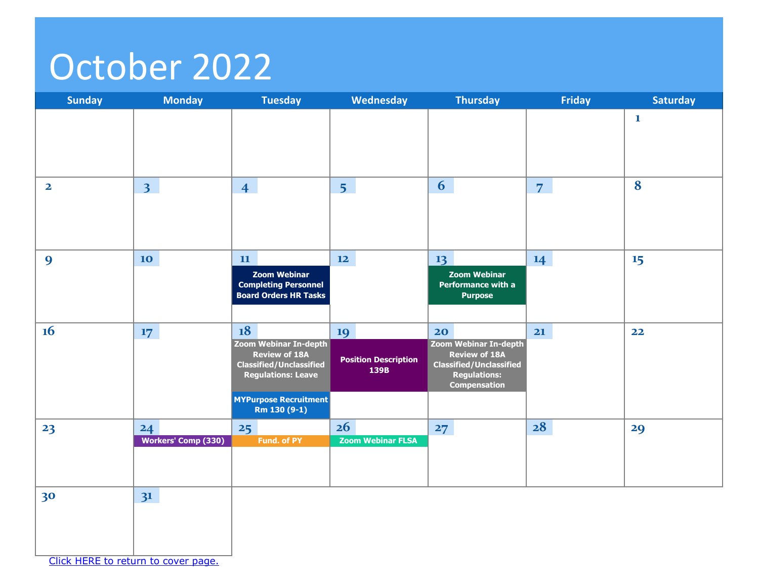### <span id="page-11-0"></span>October 2022

| Sunday                              | <b>Monday</b>              | <b>Tuesday</b>                                                                      | Wednesday                           | <b>Thursday</b>                                                                                      | <b>Friday</b>  | <b>Saturday</b> |
|-------------------------------------|----------------------------|-------------------------------------------------------------------------------------|-------------------------------------|------------------------------------------------------------------------------------------------------|----------------|-----------------|
|                                     |                            |                                                                                     |                                     |                                                                                                      |                | $\mathbf 1$     |
|                                     |                            |                                                                                     |                                     |                                                                                                      |                |                 |
| $\mathbf{2}$                        | 3 <sup>1</sup>             | $\overline{4}$                                                                      | 5 <sup>1</sup>                      | 6                                                                                                    | $\overline{7}$ | 8               |
|                                     |                            |                                                                                     |                                     |                                                                                                      |                |                 |
| 9                                   | 10                         | 11<br><b>Zoom Webinar</b>                                                           | 12                                  | 13<br><b>Zoom Webinar</b>                                                                            | 14             | 15              |
|                                     |                            | <b>Completing Personnel</b><br><b>Board Orders HR Tasks</b>                         |                                     | Performance with a<br><b>Purpose</b>                                                                 |                |                 |
| 16                                  | 17                         | 18<br>Zoom Webinar In-depth                                                         | 19                                  | 20<br>Zoom Webinar In-depth                                                                          | 21             | 22              |
|                                     |                            | <b>Review of 18A</b><br><b>Classified/Unclassified</b><br><b>Regulations: Leave</b> | <b>Position Description</b><br>139B | <b>Review of 18A</b><br><b>Classified/Unclassified</b><br><b>Regulations:</b><br><b>Compensation</b> |                |                 |
|                                     |                            | <b>MYPurpose Recruitment</b><br>Rm 130 (9-1)                                        |                                     |                                                                                                      |                |                 |
| 23                                  | 24                         | 25                                                                                  | 26                                  | 27                                                                                                   | 28             | 29              |
|                                     | <b>Workers' Comp (330)</b> | <b>Fund. of PY</b>                                                                  | <b>Zoom Webinar FLSA</b>            |                                                                                                      |                |                 |
|                                     |                            |                                                                                     |                                     |                                                                                                      |                |                 |
| 30                                  | 3 <sup>1</sup>             |                                                                                     |                                     |                                                                                                      |                |                 |
|                                     |                            |                                                                                     |                                     |                                                                                                      |                |                 |
| Click HERE to return to cover page. |                            |                                                                                     |                                     |                                                                                                      |                |                 |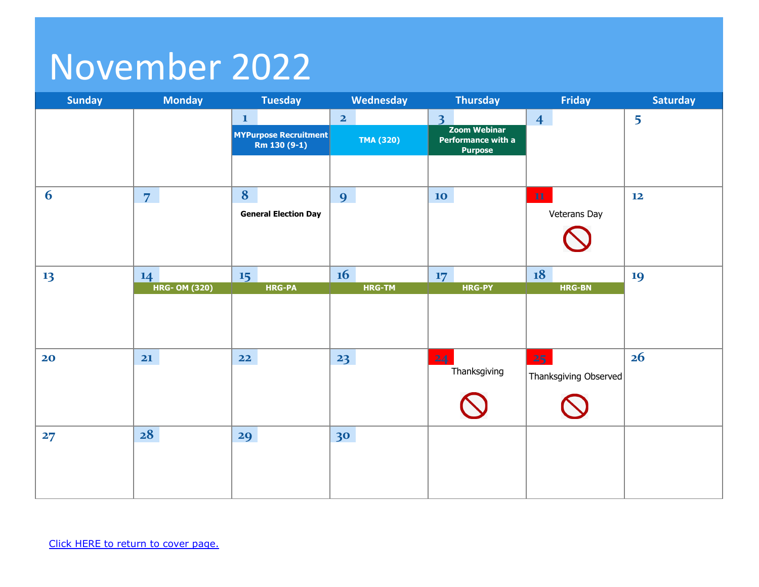## <span id="page-12-0"></span>November 2022

| <b>Sunday</b> | <b>Monday</b>        | <b>Tuesday</b>                               | Wednesday               | <b>Thursday</b>                                             | <b>Friday</b>         | <b>Saturday</b> |
|---------------|----------------------|----------------------------------------------|-------------------------|-------------------------------------------------------------|-----------------------|-----------------|
|               |                      | $\mathbf{1}$                                 | $\overline{\mathbf{2}}$ | $\overline{3}$                                              | $\overline{4}$        | 5               |
|               |                      | <b>MYPurpose Recruitment</b><br>Rm 130 (9-1) | TMA (320)               | <b>Zoom Webinar</b><br>Performance with a<br><b>Purpose</b> |                       |                 |
|               |                      |                                              |                         |                                                             |                       |                 |
| 6             | $\overline{7}$       | 8                                            | 9                       | 10                                                          | ${\bf 11}$            | 12              |
|               |                      | <b>General Election Day</b>                  |                         |                                                             | Veterans Day          |                 |
|               |                      |                                              |                         |                                                             |                       |                 |
| 13            | 14                   | 15                                           | 16                      | 17                                                          | 18                    | 19              |
|               | <b>HRG- OM (320)</b> | <b>HRG-PA</b>                                | HRG-TM                  | HRG-PY                                                      | <b>HRG-BN</b>         |                 |
|               |                      |                                              |                         |                                                             |                       |                 |
|               |                      |                                              |                         |                                                             |                       |                 |
| 20            | $\mathbf{21}$        | $22$                                         | 23                      | 24                                                          | 25 <sub>1</sub>       | 26              |
|               |                      |                                              |                         | Thanksgiving                                                | Thanksgiving Observed |                 |
|               |                      |                                              |                         |                                                             |                       |                 |
| 27            | 28                   | 29                                           | 30                      |                                                             |                       |                 |
|               |                      |                                              |                         |                                                             |                       |                 |
|               |                      |                                              |                         |                                                             |                       |                 |
|               |                      |                                              |                         |                                                             |                       |                 |